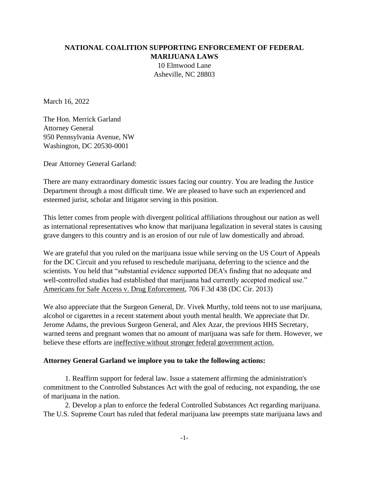# **NATIONAL COALITION SUPPORTING ENFORCEMENT OF FEDERAL MARIJUANA LAWS** 10 Elmwood Lane Asheville, NC 28803

March 16, 2022

The Hon. Merrick Garland Attorney General 950 Pennsylvania Avenue, NW Washington, DC 20530-0001

Dear Attorney General Garland:

There are many extraordinary domestic issues facing our country. You are leading the Justice Department through a most difficult time. We are pleased to have such an experienced and esteemed jurist, scholar and litigator serving in this position.

This letter comes from people with divergent political affiliations throughout our nation as well as international representatives who know that marijuana legalization in several states is causing grave dangers to this country and is an erosion of our rule of law domestically and abroad.

We are grateful that you ruled on the marijuana issue while serving on the US Court of Appeals for the DC Circuit and you refused to reschedule marijuana, deferring to the science and the scientists. You held that "substantial evidence supported DEA's finding that no adequate and well-controlled studies had established that marijuana had currently accepted medical use." Americans for Safe Access v. Drug Enforcement, 706 F.3d 438 (DC Cir. 2013)

We also appreciate that the Surgeon General, Dr. Vivek Murthy, told teens not to use marijuana, alcohol or cigarettes in a recent statement about youth mental health. We appreciate that Dr. Jerome Adams, the previous Surgeon General, and Alex Azar, the previous HHS Secretary, warned teens and pregnant women that no amount of marijuana was safe for them. However, we believe these efforts are ineffective without stronger federal government action.

#### **Attorney General Garland we implore you to take the following actions:**

1. Reaffirm support for federal law. Issue a statement affirming the administration's commitment to the Controlled Substances Act with the goal of reducing, not expanding, the use of marijuana in the nation.

2. Develop a plan to enforce the federal Controlled Substances Act regarding marijuana. The U.S. Supreme Court has ruled that federal marijuana law preempts state marijuana laws and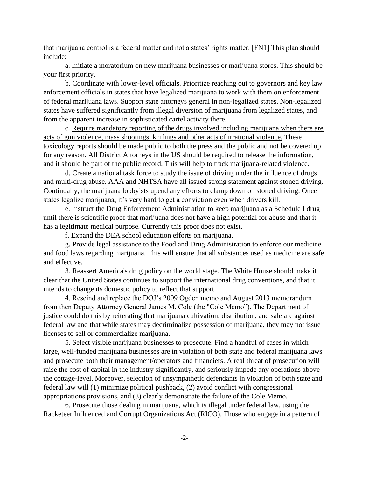that marijuana control is a federal matter and not a states' rights matter. [FN1] This plan should include:

a. Initiate a moratorium on new marijuana businesses or marijuana stores. This should be your first priority.

b. Coordinate with lower-level officials. Prioritize reaching out to governors and key law enforcement officials in states that have legalized marijuana to work with them on enforcement of federal marijuana laws. Support state attorneys general in non-legalized states. Non-legalized states have suffered significantly from illegal diversion of marijuana from legalized states, and from the apparent increase in sophisticated cartel activity there.

c. Require mandatory reporting of the drugs involved including marijuana when there are acts of gun violence, mass shootings, knifings and other acts of irrational violence. These toxicology reports should be made public to both the press and the public and not be covered up for any reason. All District Attorneys in the US should be required to release the information, and it should be part of the public record. This will help to track marijuana-related violence.

d. Create a national task force to study the issue of driving under the influence of drugs and multi-drug abuse. AAA and NHTSA have all issued strong statement against stoned driving. Continually, the marijuana lobbyists upend any efforts to clamp down on stoned driving. Once states legalize marijuana, it's very hard to get a conviction even when drivers kill.

e. Instruct the Drug Enforcement Administration to keep marijuana as a Schedule I drug until there is scientific proof that marijuana does not have a high potential for abuse and that it has a legitimate medical purpose. Currently this proof does not exist.

f. Expand the DEA school education efforts on marijuana.

g. Provide legal assistance to the Food and Drug Administration to enforce our medicine and food laws regarding marijuana. This will ensure that all substances used as medicine are safe and effective.

3. Reassert America's drug policy on the world stage. The White House should make it clear that the United States continues to support the international drug conventions, and that it intends to change its domestic policy to reflect that support.

4. Rescind and replace the DOJ's 2009 Ogden memo and August 2013 memorandum from then Deputy Attorney General James M. Cole (the "Cole Memo"). The Department of justice could do this by reiterating that marijuana cultivation, distribution, and sale are against federal law and that while states may decriminalize possession of marijuana, they may not issue licenses to sell or commercialize marijuana.

5. Select visible marijuana businesses to prosecute. Find a handful of cases in which large, well-funded marijuana businesses are in violation of both state and federal marijuana laws and prosecute both their management/operators and financiers. A real threat of prosecution will raise the cost of capital in the industry significantly, and seriously impede any operations above the cottage-level. Moreover, selection of unsympathetic defendants in violation of both state and federal law will (1) minimize political pushback, (2) avoid conflict with congressional appropriations provisions, and (3) clearly demonstrate the failure of the Cole Memo.

6. Prosecute those dealing in marijuana, which is illegal under federal law, using the Racketeer Influenced and Corrupt Organizations Act (RICO). Those who engage in a pattern of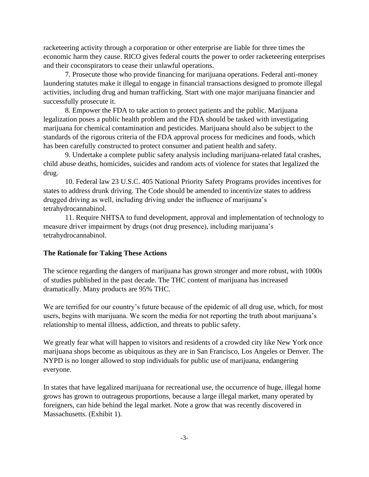racketeering activity through a corporation or other enterprise are liable for three times the economic harm they cause. RICO gives federal courts the power to order racketeering enterprises and their coconspirators to cease their unlawful operations.

7. Prosecute those who provide financing for marijuana operations. Federal anti-money laundering statutes make it illegal to engage in financial transactions designed to promote illegal activities, including drug and human trafficking. Start with one major marijuana financier and successfully prosecute it.

8. Empower the FDA to take action to protect patients and the public. Marijuana legalization poses a public health problem and the FDA should be tasked with investigating marijuana for chemical contamination and pesticides. Marijuana should also be subject to the standards of the rigorous criteria of the FDA approval process for medicines and foods, which has been carefully constructed to protect consumer and patient health and safety.

9. Undertake a complete public safety analysis including marijuana-related fatal crashes, child abuse deaths, homicides, suicides and random acts of violence for states that legalized the drug.

10. Federal law 23 U.S.C. 405 National Priority Safety Programs provides incentives for states to address drunk driving. The Code should be amended to incentivize states to address drugged driving as well, including driving under the influence of marijuana's tetrahydrocannabinol.

11. Require NHTSA to fund development, approval and implementation of technology to measure driver impairment by drugs (not drug presence), including marijuana's tetrahydrocannabinol.

#### **The Rationale for Taking These Actions**

The science regarding the dangers of marijuana has grown stronger and more robust, with 1000s of studies published in the past decade. The THC content of marijuana has increased dramatically. Many products are 95% THC.

We are terrified for our country's future because of the epidemic of all drug use, which, for most users, begins with marijuana. We scorn the media for not reporting the truth about marijuana's relationship to mental illness, addiction, and threats to public safety.

We greatly fear what will happen to visitors and residents of a crowded city like New York once marijuana shops become as ubiquitous as they are in San Francisco, Los Angeles or Denver. The NYPD is no longer allowed to stop individuals for public use of marijuana, endangering everyone.

In states that have legalized marijuana for recreational use, the occurrence of huge, illegal home grows has grown to outrageous proportions, because a large illegal market, many operated by foreigners, can hide behind the legal market. Note a grow that was recently discovered in Massachusetts. (Exhibit 1).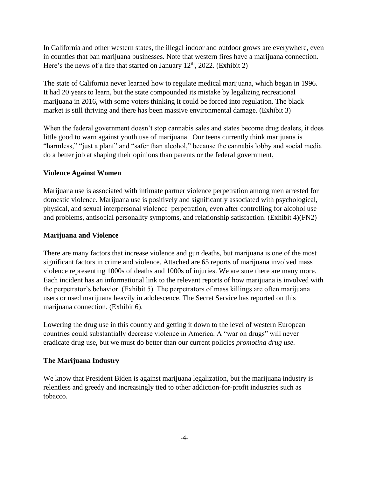In California and other western states, the illegal indoor and outdoor grows are everywhere, even in counties that ban marijuana businesses. Note that western fires have a marijuana connection. Here's the news of a fire that started on January  $12<sup>th</sup>$ , 2022. (Exhibit 2)

The state of California never learned how to regulate medical marijuana, which began in 1996. It had 20 years to learn, but the state compounded its mistake by legalizing recreational marijuana in 2016, with some voters thinking it could be forced into regulation. The black market is still thriving and there has been massive environmental damage. (Exhibit 3)

When the federal government doesn't stop cannabis sales and states become drug dealers, it does little good to warn against youth use of marijuana. Our teens currently think marijuana is "harmless," "just a plant" and "safer than alcohol," because the cannabis lobby and social media do a better job at shaping their opinions than parents or the federal government.

## **Violence Against Women**

Marijuana use is associated with intimate partner violence perpetration among men arrested for domestic violence. Marijuana use is positively and significantly associated with psychological, physical, and sexual interpersonal violence perpetration, even after controlling for alcohol use and problems, antisocial personality symptoms, and relationship satisfaction. (Exhibit 4)(FN2)

#### **Marijuana and Violence**

There are many factors that increase violence and gun deaths, but marijuana is one of the most significant factors in crime and violence. Attached are 65 reports of marijuana involved mass violence representing 1000s of deaths and 1000s of injuries. We are sure there are many more. Each incident has an informational link to the relevant reports of how marijuana is involved with the perpetrator's behavior. (Exhibit 5). The perpetrators of mass killings are often marijuana users or used marijuana heavily in adolescence. The Secret Service has reported on this marijuana connection. (Exhibit 6).

Lowering the drug use in this country and getting it down to the level of western European countries could substantially decrease violence in America. A "war on drugs" will never eradicate drug use, but we must do better than our current policies *promoting drug use.*

#### **The Marijuana Industry**

We know that President Biden is against marijuana legalization, but the marijuana industry is relentless and greedy and increasingly tied to other addiction-for-profit industries such as tobacco.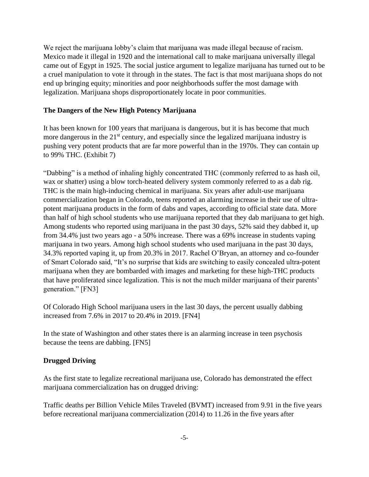We reject the marijuana lobby's claim that marijuana was made illegal because of racism. Mexico made it illegal in 1920 and the international call to make marijuana universally illegal came out of Egypt in 1925. The social justice argument to legalize marijuana has turned out to be a cruel manipulation to vote it through in the states. The fact is that most marijuana shops do not end up bringing equity; minorities and poor neighborhoods suffer the most damage with legalization. Marijuana shops disproportionately locate in poor communities.

## **The Dangers of the New High Potency Marijuana**

It has been known for 100 years that marijuana is dangerous, but it is has become that much more dangerous in the  $21<sup>st</sup>$  century, and especially since the legalized marijuana industry is pushing very potent products that are far more powerful than in the 1970s. They can contain up to 99% THC. (Exhibit 7)

"Dabbing" is a method of inhaling highly concentrated THC (commonly referred to as hash oil, wax or shatter) using a blow torch-heated delivery system commonly referred to as a dab rig. THC is the main high-inducing chemical in marijuana. Six years after adult-use marijuana commercialization began in Colorado, teens reported an alarming increase in their use of ultrapotent marijuana products in the form of dabs and vapes, according to official state data. More than half of high school students who use marijuana reported that they dab marijuana to get high. Among students who reported using marijuana in the past 30 days, 52% said they dabbed it, up from 34.4% just two years ago - a 50% increase. There was a 69% increase in students vaping marijuana in two years. Among high school students who used marijuana in the past 30 days, 34.3% reported vaping it, up from 20.3% in 2017. Rachel O'Bryan, an attorney and co-founder of Smart Colorado said, "It's no surprise that kids are switching to easily concealed ultra-potent marijuana when they are bombarded with images and marketing for these high-THC products that have proliferated since legalization. This is not the much milder marijuana of their parents' generation." [FN3]

Of Colorado High School marijuana users in the last 30 days, the percent usually dabbing increased from 7.6% in 2017 to 20.4% in 2019. [FN4]

In the state of Washington and other states there is an alarming increase in teen psychosis because the teens are dabbing. [FN5]

#### **Drugged Driving**

As the first state to legalize recreational marijuana use, Colorado has demonstrated the effect marijuana commercialization has on drugged driving:

Traffic deaths per Billion Vehicle Miles Traveled (BVMT) increased from 9.91 in the five years before recreational marijuana commercialization (2014) to 11.26 in the five years after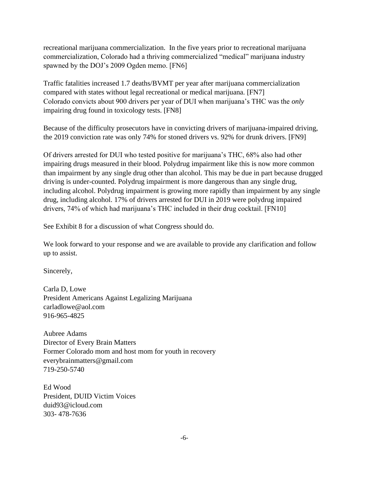recreational marijuana commercialization. In the five years prior to recreational marijuana commercialization, Colorado had a thriving commercialized "medical" marijuana industry spawned by the DOJ's 2009 Ogden memo. [FN6]

Traffic fatalities increased 1.7 deaths/BVMT per year after marijuana commercialization compared with states without legal recreational or medical marijuana. [FN7] Colorado convicts about 900 drivers per year of DUI when marijuana's THC was the *only* impairing drug found in toxicology tests. [FN8]

Because of the difficulty prosecutors have in convicting drivers of marijuana-impaired driving, the 2019 conviction rate was only 74% for stoned drivers vs. 92% for drunk drivers. [FN9]

Of drivers arrested for DUI who tested positive for marijuana's THC, 68% also had other impairing drugs measured in their blood. Polydrug impairment like this is now more common than impairment by any single drug other than alcohol. This may be due in part because drugged driving is under-counted. Polydrug impairment is more dangerous than any single drug, including alcohol. Polydrug impairment is growing more rapidly than impairment by any single drug, including alcohol. 17% of drivers arrested for DUI in 2019 were polydrug impaired drivers, 74% of which had marijuana's THC included in their drug cocktail. [FN10]

See Exhibit 8 for a discussion of what Congress should do.

We look forward to your response and we are available to provide any clarification and follow up to assist.

Sincerely,

Carla D, Lowe President Americans Against Legalizing Marijuana carladlowe@aol.com 916-965-4825

Aubree Adams Director of Every Brain Matters Former Colorado mom and host mom for youth in recovery everybrainmatters@gmail.com 719-250-5740

Ed Wood President, DUID Victim Voices duid93@icloud.com 303- 478-7636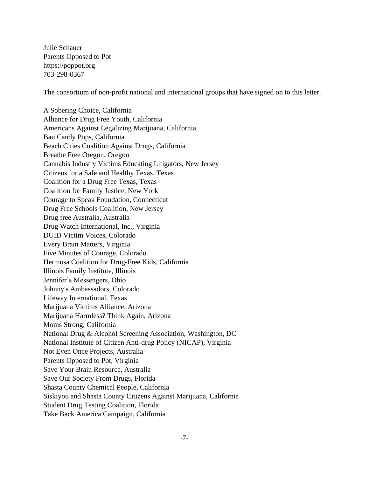Julie Schauer Parents Opposed to Pot https://poppot.org 703-298-0367

The consortium of non-profit national and international groups that have signed on to this letter.

A Sobering Choice, California Alliance for Drug Free Youth, California Americans Against Legalizing Marijuana, California Ban Candy Pops, California Beach Cities Coalition Against Drugs, California Breathe Free Oregon, Oregon Cannabis Industry Victims Educating Litigators, New Jersey Citizens for a Safe and Healthy Texas, Texas Coalition for a Drug Free Texas, Texas Coalition for Family Justice, New York Courage to Speak Foundation, Connecticut Drug Free Schools Coalition, New Jersey Drug free Australia, Australia Drug Watch International, Inc., Virginia DUID Victim Voices, Colorado Every Brain Matters, Virginia Five Minutes of Courage, Colorado Hermosa Coalition for Drug-Free Kids, California Illinois Family Institute, Illinois Jennifer's Messengers, Ohio Johnny's Ambassadors, Colorado Lifeway International, Texas Marijuana Victims Alliance, Arizona Marijuana Harmless? Think Again, Arizona Moms Strong, California National Drug & Alcohol Screening Association, Washington, DC National Institute of Citizen Anti-drug Policy (NICAP), Virginia Not Even Once Projects, Australia Parents Opposed to Pot, Virginia Save Your Brain Resource, Australia Save Our Society From Drugs, Florida Shasta County Chemical People, California Siskiyou and Shasta County Citizens Against Marijuana, California Student Drug Testing Coalition, Florida Take Back America Campaign, California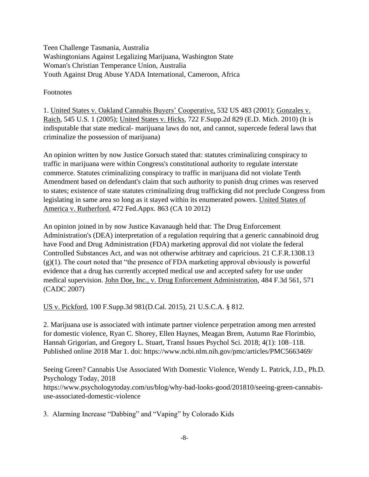Teen Challenge Tasmania, Australia Washingtonians Against Legalizing Marijuana, Washington State Woman's Christian Temperance Union, Australia Youth Against Drug Abuse YADA International, Cameroon, Africa

Footnotes

1. United States v. Oakland Cannabis Buyers' Cooperative, 532 US 483 (2001); Gonzales v. Raich, 545 U.S. 1 (2005); United States v. Hicks, 722 F.Supp.2d 829 (E.D. Mich. 2010) (It is indisputable that state medical- marijuana laws do not, and cannot, supercede federal laws that criminalize the possession of marijuana)

An opinion written by now Justice Gorsuch stated that: statutes criminalizing conspiracy to traffic in marijuana were within Congress's constitutional authority to regulate interstate commerce. Statutes criminalizing conspiracy to traffic in marijuana did not violate Tenth Amendment based on defendant's claim that such authority to punish drug crimes was reserved to states; existence of state statutes criminalizing drug trafficking did not preclude Congress from legislating in same area so long as it stayed within its enumerated powers. United States of America v. Rutherford. 472 Fed.Appx. 863 (CA 10 2012)

An opinion joined in by now Justice Kavanaugh held that: The Drug Enforcement Administration's (DEA) interpretation of a regulation requiring that a generic cannabinoid drug have Food and Drug Administration (FDA) marketing approval did not violate the federal Controlled Substances Act, and was not otherwise arbitrary and capricious. 21 C.F.R.1308.13  $(g)(1)$ . The court noted that "the presence of FDA marketing approval obviously is powerful evidence that a drug has currently accepted medical use and accepted safety for use under medical supervision. John Doe, Inc., v. Drug Enforcement Administration, 484 F.3d 561, 571 (CADC 2007)

US v. Pickford, 100 F.Supp.3d 981(D.Cal. 2015), 21 U.S.C.A. § 812.

2. Marijuana use is associated with intimate partner violence perpetration among men arrested for domestic violence, Ryan C. Shorey, Ellen Haynes, Meagan Brem, Autumn Rae Florimbio, Hannah Grigorian, and Gregory L. Stuart, Transl Issues Psychol Sci. 2018; 4(1): 108–118. Published online 2018 Mar 1. doi: https://www.ncbi.nlm.nih.gov/pmc/articles/PMC5663469/

Seeing Green? Cannabis Use Associated With Domestic Violence, Wendy L. Patrick, J.D., Ph.D. Psychology Today, 2018 https://www.psychologytoday.com/us/blog/why-bad-looks-good/201810/seeing-green-cannabisuse-associated-domestic-violence

3. Alarming Increase "Dabbing" and "Vaping" by Colorado Kids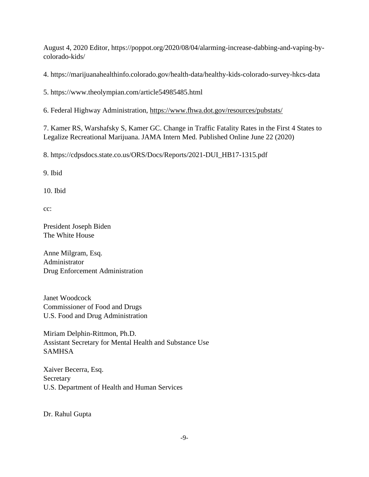August 4, 2020 Editor, https://poppot.org/2020/08/04/alarming-increase-dabbing-and-vaping-bycolorado-kids/

4. https://marijuanahealthinfo.colorado.gov/health-data/healthy-kids-colorado-survey-hkcs-data

5. https://www.theolympian.com/article54985485.html

6. Federal Highway Administration, https://www.fhwa.dot.gov/resources/pubstats/

7. Kamer RS, Warshafsky S, Kamer GC. Change in Traffic Fatality Rates in the First 4 States to Legalize Recreational Marijuana. JAMA Intern Med. Published Online June 22 (2020)

8. https://cdpsdocs.state.co.us/ORS/Docs/Reports/2021-DUI\_HB17-1315.pdf

9. Ibid

10. Ibid

cc:

President Joseph Biden The White House

Anne Milgram, Esq. Administrator Drug Enforcement Administration

Janet Woodcock Commissioner of Food and Drugs U.S. Food and Drug Administration

Miriam Delphin-Rittmon, Ph.D. Assistant Secretary for Mental Health and Substance Use SAMHSA

Xaiver Becerra, Esq. Secretary U.S. Department of Health and Human Services

Dr. Rahul Gupta